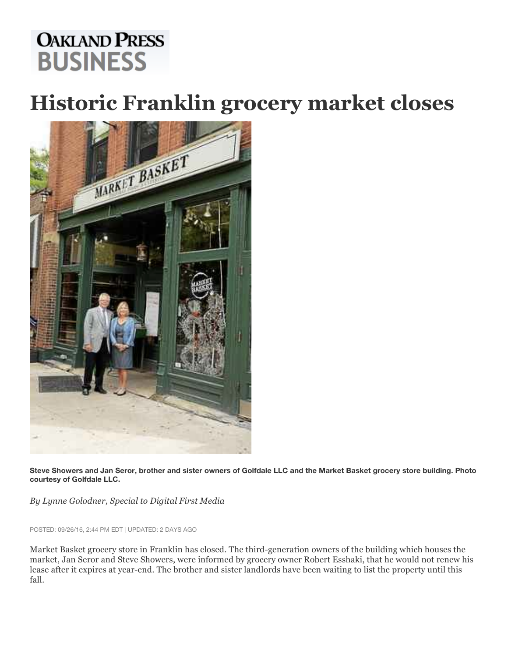## **OAKLAND PRESS BUSINESS**

## **Historic Franklin grocery market closes**



**Steve Showers and Jan Seror, brother and sister owners of Golfdale LLC and the Market Basket grocery store building. Photo courtesy of Golfdale LLC.**

*By Lynne Golodner, Special to Digital First Media*

POSTED: 09/26/16, 2:44 PM EDT | UPDATED: 2 DAYS AGO

Market Basket grocery store in Franklin has closed. The third-generation owners of the building which houses the market, Jan Seror and Steve Showers, were informed by grocery owner Robert Esshaki, that he would not renew his lease after it expires at year-end. The brother and sister landlords have been waiting to list the property until this fall.